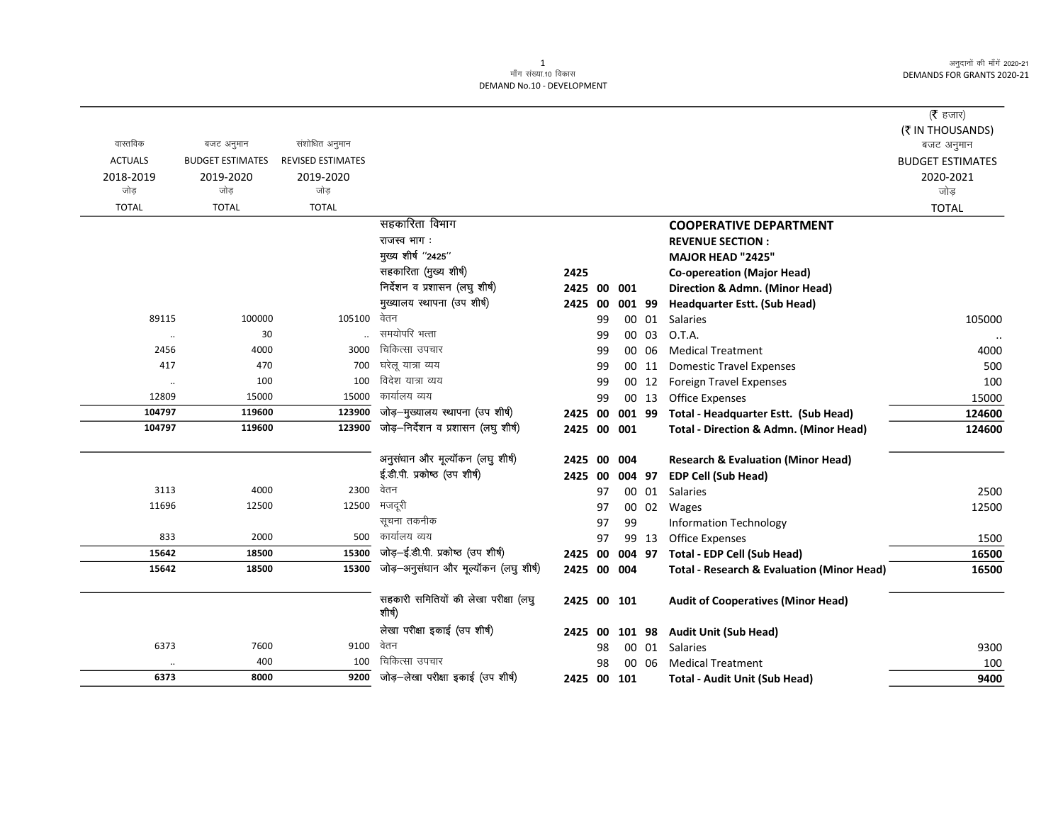अनुदानों की माँगें 2020-21 DEMANDS FOR GRANTS 2020-21

## 1<br>माँग संख्या.10 विकास DEMAND No.10 - DEVELOPMENT

|                      |                         |                          |                                       |                |    |        |       |                                                       | (रै हजार)               |
|----------------------|-------------------------|--------------------------|---------------------------------------|----------------|----|--------|-------|-------------------------------------------------------|-------------------------|
|                      |                         |                          |                                       |                |    |        |       |                                                       | (₹ IN THOUSANDS)        |
| वास्तविक             | बजट अनुमान              | संशोधित अनुमान           |                                       |                |    |        |       |                                                       | बजट अनुमान              |
| <b>ACTUALS</b>       | <b>BUDGET ESTIMATES</b> | <b>REVISED ESTIMATES</b> |                                       |                |    |        |       |                                                       | <b>BUDGET ESTIMATES</b> |
| 2018-2019            | 2019-2020               | 2019-2020                |                                       |                |    |        |       |                                                       | 2020-2021               |
| जोड                  | जोड                     | जोड                      |                                       |                |    |        |       |                                                       | जोड                     |
| <b>TOTAL</b>         | <b>TOTAL</b>            | <b>TOTAL</b>             |                                       |                |    |        |       |                                                       | <b>TOTAL</b>            |
|                      |                         |                          | सहकारिता विभाग                        |                |    |        |       | <b>COOPERATIVE DEPARTMENT</b>                         |                         |
|                      |                         |                          | राजस्व भाग:                           |                |    |        |       | <b>REVENUE SECTION:</b>                               |                         |
|                      |                         |                          | मुख्य शीर्ष "2425"                    |                |    |        |       | <b>MAJOR HEAD "2425"</b>                              |                         |
|                      |                         |                          | सहकारिता (मुख्य शीर्ष)                | 2425           |    |        |       | <b>Co-opereation (Major Head)</b>                     |                         |
|                      |                         |                          | निर्देशन व प्रशासन (लघु शीर्ष)        | 2425 00        |    | 001    |       | Direction & Admn. (Minor Head)                        |                         |
|                      |                         |                          | मुख्यालय स्थापना (उप शीर्ष)           | 2425           | 00 | 001 99 |       | Headquarter Estt. (Sub Head)                          |                         |
| 89115                | 100000                  | 105100                   | वेतन                                  |                | 99 |        | 00 01 | <b>Salaries</b>                                       | 105000                  |
| $\ddot{\phantom{a}}$ | 30                      |                          | समयोपरि भत्ता                         |                | 99 |        | 00 03 | O.T.A.                                                |                         |
| 2456                 | 4000                    | 3000                     | चिकित्सा उपचार                        |                | 99 |        | 00 06 | <b>Medical Treatment</b>                              | 4000                    |
| 417                  | 470                     | 700                      | घरेलू यात्रा व्यय                     |                | 99 |        | 00 11 | <b>Domestic Travel Expenses</b>                       | 500                     |
|                      | 100                     | 100                      | विदेश यात्रा व्यय                     |                | 99 |        | 00 12 | <b>Foreign Travel Expenses</b>                        | 100                     |
| 12809                | 15000                   | 15000                    | कार्यालय व्यय                         |                | 99 |        | 00 13 | <b>Office Expenses</b>                                | 15000                   |
| 104797               | 119600                  | 123900                   | जोड़-मुख्यालय स्थापना (उप शीर्ष)      | 2425 00        |    | 001 99 |       | Total - Headquarter Estt. (Sub Head)                  | 124600                  |
| 104797               | 119600                  | 123900                   | जोड़-निर्देशन व प्रशासन (लघु शीर्ष)   | 2425 00 001    |    |        |       | <b>Total - Direction &amp; Admn. (Minor Head)</b>     | 124600                  |
|                      |                         |                          | अनुसंधान और मूल्यॉकन (लघु शीर्ष)      | 2425 00 004    |    |        |       | <b>Research &amp; Evaluation (Minor Head)</b>         |                         |
|                      |                         |                          | ई.डी.पी. प्रकोष्ठ (उप शीर्ष)          | 2425 00 004 97 |    |        |       | <b>EDP Cell (Sub Head)</b>                            |                         |
| 3113                 | 4000                    | 2300                     | वेतन                                  |                | 97 |        | 00 01 | <b>Salaries</b>                                       | 2500                    |
| 11696                | 12500                   | 12500                    | मजदूरी                                |                | 97 |        | 00 02 | Wages                                                 | 12500                   |
|                      |                         |                          | सूचना तकनीक                           |                | 97 | 99     |       | <b>Information Technology</b>                         |                         |
| 833                  | 2000                    | 500                      | कार्यालय व्यय                         |                | 97 |        | 99 13 | <b>Office Expenses</b>                                | 1500                    |
| 15642                | 18500                   | 15300                    | जोड़-ई.डी.पी. प्रकोष्ठ (उप शीर्ष)     | 2425 00        |    | 004 97 |       | Total - EDP Cell (Sub Head)                           | 16500                   |
| 15642                | 18500                   | 15300                    | जोड़-अनुसंधान और मूल्यॉकन (लघु शीर्ष) | 2425 00 004    |    |        |       | <b>Total - Research &amp; Evaluation (Minor Head)</b> | 16500                   |
|                      |                         |                          | सहकारी समितियों की लेखा परीक्षा (लघु  |                |    |        |       |                                                       |                         |
|                      |                         |                          | शीर्ष)                                | 2425 00 101    |    |        |       | <b>Audit of Cooperatives (Minor Head)</b>             |                         |
|                      |                         |                          | लेखा परीक्षा इकाई (उप शीर्ष)          | 2425 00        |    | 101 98 |       | <b>Audit Unit (Sub Head)</b>                          |                         |
| 6373                 | 7600                    | 9100                     | वेतन                                  |                | 98 | 00     | 01    | <b>Salaries</b>                                       | 9300                    |
|                      | 400                     | 100                      | चिकित्सा उपचार                        |                | 98 |        | 00 06 | <b>Medical Treatment</b>                              | 100                     |
| 6373                 | 8000                    | 9200                     | जोड़-लेखा परीक्षा इकाई (उप शीर्ष)     | 2425 00 101    |    |        |       | <b>Total - Audit Unit (Sub Head)</b>                  | 9400                    |